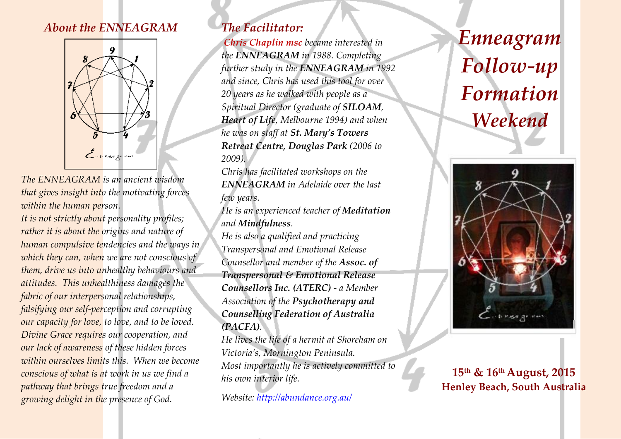# *About the ENNEAGRAM*



*The ENNEAGRAM is an ancient wisdom that gives insight into the motivating forces within the human person.*

*It is not strictly about personality profiles; rather it is about the origins and nature of human compulsive tendencies and the ways in which they can, when we are not conscious of them, drive us into unhealthy behaviours and attitudes. This unhealthiness damages the fabric of our interpersonal relationships, falsifying our self-perception and corrupting our capacity for love, to love, and to be loved. Divine Grace requires our cooperation, and our lack of awareness of these hidden forces within ourselves limits this. When we become conscious of what is at work in us we find a pathway that brings true freedom and a growing delight in the presence of God.*

# *The Facilitator:*

*Chris Chaplin msc became interested in the ENNEAGRAM in 1988. Completing further study in the ENNEAGRAM in 1992 and since, Chris has used this tool for over 20 years as he walked with people as a Spiritual Director (graduate of SILOAM, Heart of Life, Melbourne 1994) and when he was on staff at St. Mary's Towers Retreat Centre, Douglas Park (2006 to 2009).* 

*Chris has facilitated workshops on the ENNEAGRAM in Adelaide over the last few years.* 

*He is an experienced teacher of Meditation and Mindfulness.* 

*He is also a qualified and practicing Transpersonal and Emotional Release Counsellor and member of the Assoc. of Transpersonal & Emotional Release Counsellors Inc. (ATERC) - a Member Association of the Psychotherapy and Counselling Federation of Australia (PACFA).*

*He lives the life of a hermit at Shoreham on Victoria's, Mornington Peninsula. Most importantly he is actively committed to his own interior life.*

*Website:<http://abundance.org.au/>*

# *Enneagram Follow-up Formation Weekend*

ļ



**15 th & 16 thAugust, 2015 Henley Beach, South Australia**